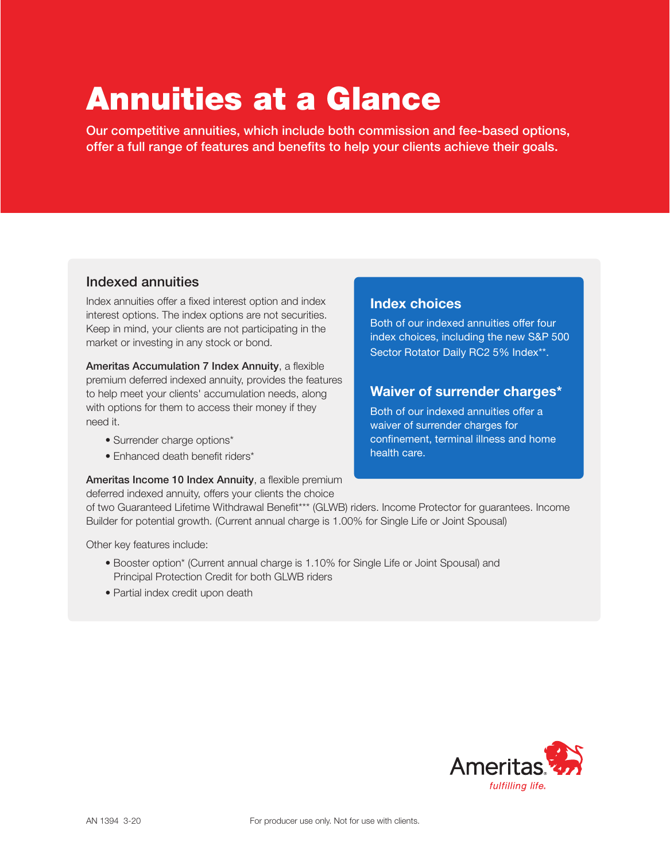# Annuities at a Glance

Our competitive annuities, which include both commission and fee-based options, offer a full range of features and benefits to help your clients achieve their goals.

### Indexed annuities

Index annuities offer a fixed interest option and index interest options. The index options are not securities. Keep in mind, your clients are not participating in the market or investing in any stock or bond.

Ameritas Accumulation 7 Index Annuity, a flexible premium deferred indexed annuity, provides the features to help meet your clients' accumulation needs, along with options for them to access their money if they need it.

- Surrender charge options\*
- Enhanced death benefit riders\*

#### Ameritas Income 10 Index Annuity, a flexible premium

deferred indexed annuity, offers your clients the choice

#### Index choices

Both of our indexed annuities offer four index choices, including the new S&P 500 Sector Rotator Daily RC2 5% Index\*\*.

## Waiver of surrender charges\*

Both of our indexed annuities offer a waiver of surrender charges for confinement, terminal illness and home health care.

of two Guaranteed Lifetime Withdrawal Benefit\*\*\* (GLWB) riders. Income Protector for guarantees. Income Builder for potential growth. (Current annual charge is 1.00% for Single Life or Joint Spousal)

Other key features include:

- Booster option\* (Current annual charge is 1.10% for Single Life or Joint Spousal) and Principal Protection Credit for both GLWB riders
- Partial index credit upon death

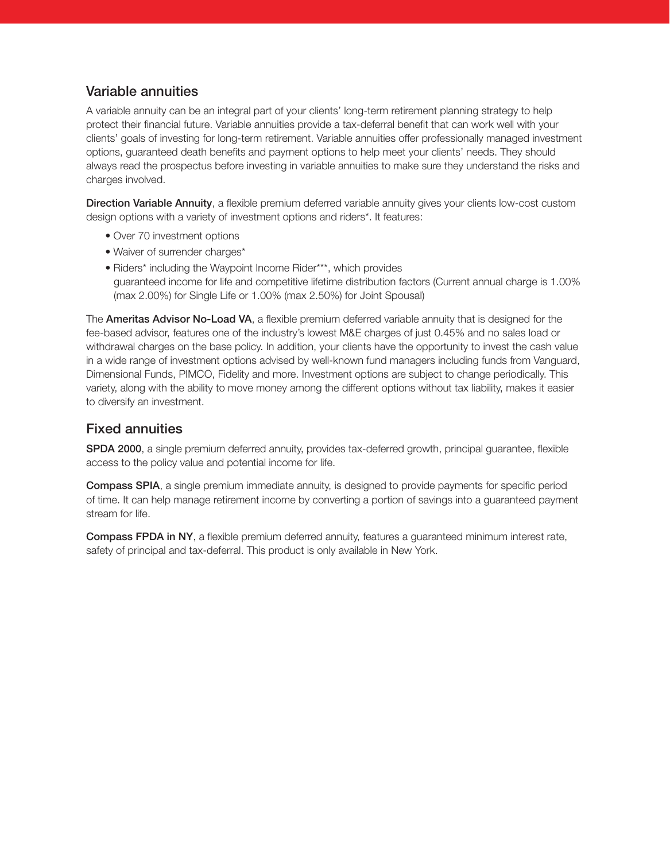## Variable annuities

A variable annuity can be an integral part of your clients' long-term retirement planning strategy to help protect their financial future. Variable annuities provide a tax-deferral benefit that can work well with your clients' goals of investing for long-term retirement. Variable annuities offer professionally managed investment options, guaranteed death benefits and payment options to help meet your clients' needs. They should always read the prospectus before investing in variable annuities to make sure they understand the risks and charges involved.

**Direction Variable Annuity**, a flexible premium deferred variable annuity gives your clients low-cost custom design options with a variety of investment options and riders\*. It features:

- Over 70 investment options
- Waiver of surrender charges\*
- Riders\* including the Waypoint Income Rider\*\*\*, which provides guaranteed income for life and competitive lifetime distribution factors (Current annual charge is 1.00% (max 2.00%) for Single Life or 1.00% (max 2.50%) for Joint Spousal)

The **Ameritas Advisor No-Load VA**, a flexible premium deferred variable annuity that is designed for the fee-based advisor, features one of the industry's lowest M&E charges of just 0.45% and no sales load or withdrawal charges on the base policy. In addition, your clients have the opportunity to invest the cash value in a wide range of investment options advised by well-known fund managers including funds from Vanguard, Dimensional Funds, PIMCO, Fidelity and more. Investment options are subject to change periodically. This variety, along with the ability to move money among the different options without tax liability, makes it easier to diversify an investment.

## Fixed annuities

SPDA 2000, a single premium deferred annuity, provides tax-deferred growth, principal guarantee, flexible access to the policy value and potential income for life.

Compass SPIA, a single premium immediate annuity, is designed to provide payments for specific period of time. It can help manage retirement income by converting a portion of savings into a guaranteed payment stream for life.

Compass FPDA in NY, a flexible premium deferred annuity, features a guaranteed minimum interest rate, safety of principal and tax-deferral. This product is only available in New York.